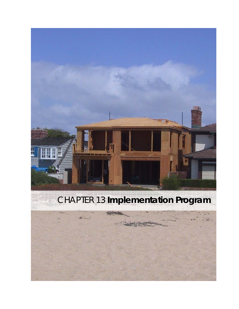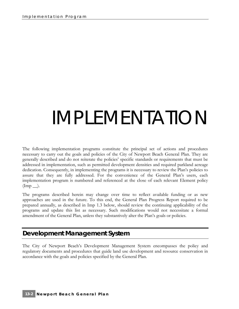# IMPI FMFNTATION

The following implementation programs constitute the principal set of actions and procedures necessary to carry out the goals and policies of the City of Newport Beach General Plan. They are generally described and do not reiterate the policies' specific standards or requirements that must be addressed in implementation, such as permitted development densities and required parkland acreage dedication. Consequently, in implementing the programs it is necessary to review the Plan's policies to assure that they are fully addressed. For the convenience of the General Plan's users, each implementation program is numbered and referenced at the close of each relevant Element policy  $(\text{Imp } \_\_).$ 

The programs described herein may change over time to reflect available funding or as new approaches are used in the future. To this end, the General Plan Progress Report required to be prepared annually, as described in Imp 1.3 below, should review the continuing applicability of the programs and update this list as necessary. Such modifications would not necessitate a formal amendment of the General Plan, unless they substantively alter the Plan's goals or policies.

# **Development Management System**

The City of Newport Beach's Development Management System encompasses the policy and regulatory documents and procedures that guide land use development and resource conservation in accordance with the goals and policies specified by the General Plan.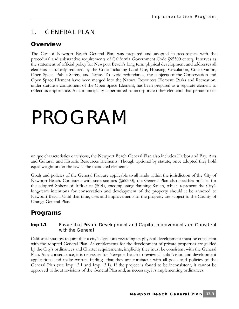# 1. GENERAL PLAN

### **Overview**

The City of Newport Beach General Plan was prepared and adopted in accordance with the procedural and substantive requirements of California Government Code §65300 et seq. It serves as the statement of official policy for Newport Beach's long term physical development and addresses all elements statutorily required by the Code including Land Use, Housing, Circulation, Conservation, Open Space, Public Safety, and Noise. To avoid redundancy, the subjects of the Conservation and Open Space Element have been merged into the Natural Resources Element. Parks and Recreation, under statute a component of the Open Space Element, has been prepared as a separate element to reflect its importance. As a municipality is permitted to incorporate other elements that pertain to its

# PROGRAM

unique characteristics or visions, the Newport Beach General Plan also includes Harbor and Bay, Arts and Cultural, and Historic Resources Elements. Though optional by statute, once adopted they hold equal weight under the law as the mandated elements.

Goals and policies of the General Plan are applicable to all lands within the jurisdiction of the City of Newport Beach. Consistent with state statutes (§65300), the General Plan also specifies policies for the adopted Sphere of Influence (SOI), encompassing Banning Ranch, which represent the City's long-term intentions for conservation and development of the property should it be annexed to Newport Beach. Until that time, uses and improvements of the property are subject to the County of Orange General Plan.

# **Programs**

#### **Imp 1.1** Ensure that Private Development and Capital Improvements are Consistent with the General

California statutes require that a city's decisions regarding its physical development must be consistent with the adopted General Plan. As entitlements for the development of private properties are guided by the City's ordinances and Charter requirements, implicitly they must be consistent with the General Plan. As a consequence, it is necessary for Newport Beach to review all subdivision and development applications and make written findings that they are consistent with all goals and policies of the General Plan (see Imp 12.1 and Imp 13.1). If the project is found to be inconsistent, it cannot be approved without revisions of the General Plan and, as necessary, it's implementing ordinances.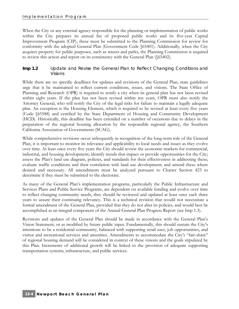When the City or any external agency responsible for the planning or implementation of public works within the City prepares its annual list of proposed public works and its five-year Capital Improvement Program (CIP), these must be submitted to the Planning Commission for review for conformity with the adopted General Plan (Government Code §65401). Additionally, when the City acquires property for public purposes, such as streets and parks, the Planning Commission is required to review this action and report on its consistency with the General Plan (§65402).

#### **Imp 1.2** Update and Revise the General Plan to Reflect Changing Conditions and Visions

While there are no specific deadlines for updates and revisions of the General Plan, state guidelines urge that it be maintained to reflect current conditions, issues, and visions. The State Office of Planning and Research (OPR) is required to notify a city when its general plan has not been revised within eight years. If the plan has not been revised within ten years, OPR must also notify the Attorney General, who will notify the City of the legal risks for failure to maintain a legally adequate plan. An exception is the Housing Element, which is required to be revised at least every five years (Code §65588) and certified by the State Department of Housing and Community Development (HCD). Historically, this deadline has been extended on a number of occasions due to delays in the preparation of the regional housing allocation by the responsible regional agency, the Southern California Association of Governments (SCAG).

While comprehensive revisions occur infrequently in recognition of the long-term role of the General Plan, it is important to monitor its relevance and applicability to local needs and issues as they evolve over time. At least once every five years the City should review the economic markets for commercial, industrial, and housing development; identify trends that impact or provide opportunities for the City; assess the Plan's land use diagram, policies, and standards for their effectiveness in addressing these; evaluate traffic conditions and their correlation with land use development; and amend these where desired and necessary. All amendments must be analyzed pursuant to Charter Section 423 to determine if they must be submitted to the electorate.

As many of the General Plan's implementation programs, particularly the Public Infrastructure and Services Plans and Public Service Programs, are dependent on available funding and evolve over time to reflect changing community needs, they should be reviewed and updated at least once each three years to assure their continuing relevancy. This is a technical revision that would not necessitate a formal amendment of the General Plan, provided that they do not alter its policies, and would best be accomplished as an integral component of the Annual General Plan Progress Report (see Imp 1.3).

Revisions and updates of the General Plan should be made in accordance with the General Plan's Vision Statement, or as modified by future public input. Fundamentally, this should sustain the City's intentions to be a residential community, balanced with supporting retail uses, job opportunities, and visitor and recreational services and amenities. Amendments to accommodate the City's "fair-share" of regional housing demand will be considered in context of these visions and the goals stipulated by this Plan. Increments of additional growth will be linked to the provision of adequate supporting transportation systems, infrastructure, and public services.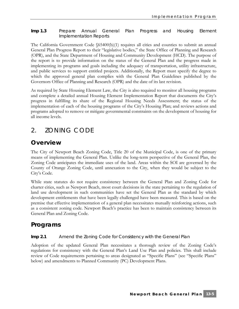#### **Imp 1.3** Prepare Annual General Plan Progress and Housing Element Implementation Reports

The California Government Code  $\delta$ 65400(b)(1) requires all cities and counties to submit an annual General Plan Progress Report to their "legislative bodies," the State Office of Planning and Research (OPR), and the State Department of Housing and Community Development (HCD). The purpose of the report is to provide information on the status of the General Plan and the progress made in implementing its programs and goals including the adequacy of transportation, utility infrastructure, and public services to support entitled projects. Additionally, the Report must specify the degree to which the approved general plan complies with the General Plan Guidelines published by the Governors Office of Planning and Research (OPR) and the date of its last revision.

As required by State Housing Element Law, the City is also required to monitor all housing programs and complete a detailed annual Housing Element Implementation Report that documents the City's progress in fulfilling its share of the Regional Housing Needs Assessment; the status of the implementation of each of the housing programs of the City's Housing Plan; and reviews actions and programs adopted to remove or mitigate governmental constraints on the development of housing for all income levels.

# 2. ZONING CODE

### **Overview**

The City of Newport Beach Zoning Code, Title 20 of the Municipal Code, is one of the primary means of implementing the General Plan. Unlike the long-term perspective of the General Plan, the Zoning Code anticipates the immediate uses of the land. Areas within the SOI are governed by the County of Orange Zoning Code, until annexation to the City, when they would be subject to the City's Code.

While state statutes do not require consistency between the General Plan and Zoning Code for charter cities, such as Newport Beach, most court decisions in the state pertaining to the regulation of land use development in such communities have set the General Plan as the standard by which development entitlements that have been legally challenged have been measured. This is based on the premise that effective implementation of a general plan necessitates mutually reinforcing actions, such as a consistent zoning code. Newport Beach's practice has been to maintain consistency between its General Plan and Zoning Code.

# **Programs**

#### **Imp 2.1** Amend the Zoning Code for Consistency with the General Plan

Adoption of the updated General Plan necessitates a thorough review of the Zoning Code's regulations for consistency with the General Plan's Land Use Plan and policies. This shall include review of Code requirements pertaining to areas designated as "Specific Plans" (see "Specific Plans" below) and amendments to Planned Community (PC) Development Plans.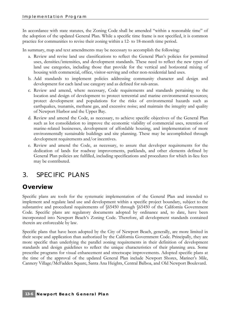In accordance with state statutes, the Zoning Code shall be amended "within a reasonable time" of the adoption of the updated General Plan. While a specific time frame is not specified, it is common practice for communities to revise their zoning within a 12- to 18-month time period.

In summary, map and text amendments may be necessary to accomplish the following:

- a. Review and revise land use classifications to reflect the General Plan's policies for permitted uses, densities/intensities, and development standards. These need to reflect the new types of land use categories, including those that provide for the vertical and horizontal mixing of housing with commercial, office, visitor-serving and other non-residential land uses.
- b. Add standards to implement policies addressing community character and design and development for each land use category and as defined for sub-areas.
- c. Review and amend, where necessary, Code requirements and standards pertaining to the location and design of development to protect terrestrial and marine environmental resources; protect development and populations for the risks of environmental hazards such as earthquakes, tsunamis, methane gas, and excessive noise; and maintain the integrity and quality of Newport Harbor and the Upper Bay.
- d. Review and amend the Code, as necessary, to achieve specific objectives of the General Plan such as lot consolidation to improve the economic viability of commercial uses, retention of marine-related businesses, development of affordable housing, and implementation of more environmentally sustainable buildings and site planning. These may be accomplished through development requirements and/or incentives.
- e. Review and amend the Code, as necessary, to assure that developer requirements for the dedication of lands for roadway improvements, parklands, and other elements defined by General Plan policies are fulfilled, including specifications and procedures for which in-lieu fees may be contributed.

# 3. SPECIFIC PLANS

# **Overview**

Specific plans are tools for the systematic implementation of the General Plan and intended to implement and regulate land use and development within a specific project boundary, subject to the substantive and procedural requirements of §65450 through §65450 of the California Government Code. Specific plans are regulatory documents adopted by ordinance and, to date, have been incorporated into Newport Beach's Zoning Code. Therefore, all development standards contained therein are enforceable by law.

Specific plans that have been adopted by the City of Newport Beach, generally, are more limited in their scope and application than authorized by the California Government Code. Principally, they are more specific than underlying the parallel zoning requirements in their definition of development standards and design guidelines to reflect the unique characteristics of their planning area. Some prescribe programs for visual enhancement and streetscape improvements. Adopted specific plans at the time of the approval of the updated General Plan include Newport Shores, Mariner's Mile, Cannery Village/McFadden Square, Santa Ana Heights, Central Balboa, and Old Newport Boulevard.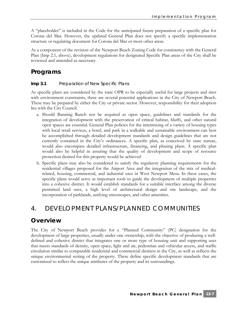A "placeholder" is included in the Code for the anticipated future preparation of a specific plan for Corona del Mar. However, the updated General Plan does not specify a specific implementation structure or regulating document for Corona del Mar or most other areas.

As a component of the revision of the Newport Beach Zoning Code for consistency with the General Plan (Imp 2.1, above), development regulations for designated Specific Plan areas of the City shall be reviewed and amended as necessary.

### **Programs**

#### **Imp 3.1** Preparation of New Specific Plans

As specific plans are considered by the state OPR to be especially useful for large projects and sites with environment constraints, there are several potential applications in the City of Newport Beach. These may be prepared by either the City or private sector. However, responsibility for their adoption lies with the City Council.

- a. Should Banning Ranch not be acquired as open space, guidelines and standards for the integration of development with the preservation of critical habitat, bluffs, and other natural open spaces are essential. General Plan policies for the intermixing of a variety of housing types with local retail services, a hotel, and park in a walkable and sustainable environment can best be accomplished through detailed development standards and design guidelines that are not currently contained in the City's ordinances. A specific plan, as conceived by state statute, would also encompass detailed infrastructure, financing, and phasing plans. A specific plan would also be helpful in assuring that the quality of development and scope of resource protection desired for this property would be achieved
- b. Specific plans may also be considered to satisfy the regulatory planning requirements for the residential villages proposed for the Airport Area and the integration of the mix of medicalrelated, housing, commercial, and industrial uses in West Newport Mesa. In these cases, the specific plans would serve as important tools to guide the development of multiple properties into a cohesive district. It would establish standards for a suitable interface among the diverse permitted land uses, a high level of architectural design and site landscape, and the incorporation of parklands, unifying streetscapes, and other amenities.

# 4. DEVELOPMENT PLANS/PLANNED COMMUNITIES

### **Overview**

The City of Newport Beach provides for a "Planned Community" (PC) designation for the development of large properties, usually under one ownership, with the objective of producing a welldefined and cohesive district that integrates one or more type of housing unit and supporting uses that meets standards of density, open space, light and air, pedestrian and vehicular access, and traffic circulation similar to comparable residential and commercial districts in the City, as well as reflects the unique environmental setting of the property. These define specific development standards that are customized to reflect the unique attributes of the property and its surroundings.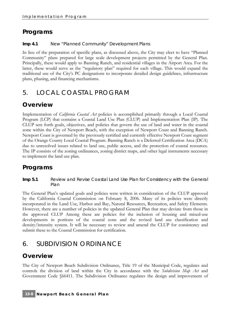# **Programs**

#### **Imp 4.1** New "Planned Community" Development Plans

In lieu of the preparation of specific plans, as discussed above, the City may elect to have "Planned Community" plans prepared for large scale development projects permitted by the General Plan. Principally, these would apply to Banning Ranch, and residential villages in the Airport Area. For the latter, these would serve as the "regulatory plan" required for each village. This would expand the traditional use of the City's PC designations to incorporate detailed design guidelines, infrastructure plans, phasing, and financing mechanisms.

# 5. LOCAL COASTAL PROGRAM

# **Overview**

Implementation of *California Coastal Act* policies is accomplished primarily through a Local Coastal Program (LCP) that contains a Coastal Land Use Plan (CLUP) and Implementation Plan (IP). The CLUP sets forth goals, objectives, and policies that govern the use of land and water in the coastal zone within the City of Newport Beach, with the exception of Newport Coast and Banning Ranch. Newport Coast is governed by the previously certified and currently effective Newport Coast segment of the Orange County Local Coastal Program. Banning Ranch is a Deferred Certification Area (DCA) due to unresolved issues related to land use, public access, and the protection of coastal resources. The IP consists of the zoning ordinances, zoning district maps, and other legal instruments necessary to implement the land use plan.

# **Programs**

**Imp 5.1** Review and Revise Coastal Land Use Plan for Consistency with the General Plan

The General Plan's updated goals and policies were written in consideration of the CLUP approved by the California Coastal Commission on February 8, 2006. Many of its policies were directly incorporated in the Land Use, Harbor and Bay, Natural Resources, Recreation, and Safety Elements. However, there are a number of policies in the updated General Plan that may deviate from those in the approved CLUP Among these are policies for the inclusion of housing and mixed-use developments in portions of the coastal zone and the revised land use classification and density/intensity system. It will be necessary to review and amend the CLUP for consistency and submit these to the Coastal Commission for certification.

# 6. SUBDIVISION ORDINANCE

# **Overview**

The City of Newport Beach Subdivision Ordinance, Title 19 of the Municipal Code, regulates and controls the division of land within the City in accordance with the *Subdivision Map Act* and Government Code §66411. The Subdivision Ordinance regulates the design and improvement of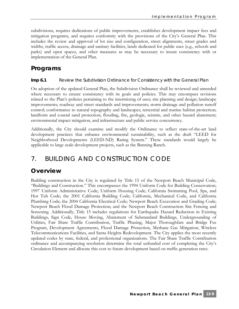subdivisions, requires dedications of public improvements, establishes development impact fees and mitigation programs, and requires conformity with the provisions of the City's General Plan. This includes the review and approval of lot size and configuration, street alignments, street grades and widths, traffic access, drainage and sanitary facilities, lands dedicated for public uses (e.g., schools and parks) and open spaces, and other measures as may be necessary to insure consistency with or implementation of the General Plan.

# **Programs**

#### **Imp 6.1** Review the Subdivision Ordinance for Consistency with the General Plan

On adoption of the updated General Plan, the Subdivision Ordinance shall be reviewed and amended where necessary to ensure consistency with its goals and policies. This may encompass revisions related to the Plan's policies pertaining to the intermixing of uses; site planning and design; landscape improvements; roadway and street standards and improvements; storm drainage and pollution runoff control; conformance to natural topography and landscapes; terrestrial and marine habitat protection; landform and coastal sand protection; flooding, fire, geologic, seismic, and other hazard abatement; environmental impact mitigation, and infrastructure and public service concurrency.

Additionally, the City should examine and modify the Ordinance to reflect state-of-the-art land development practices that enhance environmental sustainability, such as the draft "LEED for Neighborhood Developments (LEED-ND) Rating System." These standards would largely be applicable to large scale development projects, such as the Banning Ranch.

# 7. BUILDING AND CONSTRUCTION CODE

### **Overview**

Building construction in the City is regulated by Title 15 of the Newport Beach Municipal Code, "Buildings and Construction." This encompasses the 1994 Uniform Code for Building Conservation; 1997 Uniform Administrative Code; Uniform Housing Code; California Swimming Pool, Spa, and Hot Tub Code; the 2001 California Building Code; California, Mechanical Code, and California Plumbing Code; the 2004 California Electrical Code; Newport Beach Excavation and Grading Code; Newport Beach Flood Damage Protection; and the Newport Beach Construction Site Fencing and Screening. Additionally, Title 15 includes regulations for Earthquake Hazard Reduction in Existing Buildings, Sign Code, House Moving, Abatement of Substandard Buildings, Undergrounding of Utilities, Fair Share Traffic Contribution, Traffic Phasing, Major Thoroughfare and Bridge Fee Program, Development Agreements, Flood Damage Protection, Methane Gas Mitigation, Wireless Telecommunications Facilities, and Santa Heights Redevelopment. The City applies the most recently updated codes by state, federal, and professional organizations. The Fair Share Traffic Contribution ordinance and accompanying resolution determine the total unfunded cost of completing the City's Circulation Element and allocate this cost to future development based on traffic generation rates.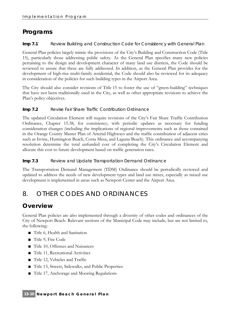# **Programs**

**Imp 7.1** Review Building and Construction Code for Consistency with General Plan

General Plan policies largely mimic the provisions of the City's Building and Construction Code (Title 15), particularly those addressing public safety. As the General Plan specifies many new policies pertaining to the design and development character of many land use districts, the Code should be reviewed to assure that these are fully addressed. In addition, as the General Plan provides for the development of high-rise multi-family residential, the Code should also be reviewed for its adequacy in consideration of the policies for such building types in the Airport Area.

The City should also consider revisions of Title 15 to foster the use of "green-building" techniques that have not been traditionally used in the City, as well as other appropriate revisions to achieve the Plan's policy objectives.

#### **Imp 7.2** Revise Fair Share Traffic Contribution Ordinance

The updated Circulation Element will require revisions of the City's Fair Share Traffic Contribution Ordinance, Chapter 15.38, for consistency, with periodic updates as necessary for funding consideration changes (including the implications of regional improvements such as those contained in the Orange County Master Plan of Arterial Highways and the traffic contribution of adjacent cities such as Irvine, Huntington Beach, Costa Mesa, and Laguna Beach). This ordinance and accompanying resolution determine the total unfunded cost of completing the City's Circulation Element and allocate this cost to future development based on traffic generation rates.

#### **Imp 7.3** Review and Update Transportation Demand Ordinance

The Transportation Demand Management (TDM) Ordinance should be periodically reviewed and updated to address the needs of new development types and land use mixes, especially as mixed use development is implemented in areas such as Newport Center and the Airport Area.

# 8. OTHER CODES AND ORDINANCES

### **Overview**

General Plan policies are also implemented through a diversity of other codes and ordinances of the City of Newport Beach. Relevant sections of the Municipal Code may include, but are not limited to, the following:

- Title 6, Health and Sanitation
- Title 9, Fire Code
- Title 10, Offenses and Nuisances
- Title 11, Recreational Activities
- Title 12, Vehicles and Traffic
- Title 13, Streets, Sidewalks, and Public Properties
- Title 17, Anchorage and Mooring Regulations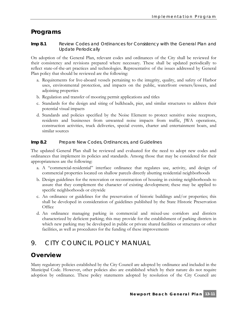### **Programs**

#### **Imp 8.1** Review Codes and Ordinances for Consistency with the General Plan and Update Periodically

On adoption of the General Plan, relevant codes and ordinances of the City shall be reviewed for their consistency and revisions prepared where necessary. These shall be updated periodically to reflect state-of-the-art practices and technologies. Representative of the issues addressed by General Plan policy that should be reviewed are the following:

- a. Requirements for live-aboard vessels pertaining to the integrity, quality, and safety of Harbor uses, environmental protection, and impacts on the public, waterfront owners/lessees, and adjoining properties
- b. Regulation and transfer of mooring permit applications and titles
- c. Standards for the design and siting of bulkheads, pier, and similar structures to address their potential visual impacts
- d. Standards and policies specified by the Noise Element to protect sensitive noise receptors, residents and businesses from unwanted noise impacts from traffic, JWA operations, construction activities, truck deliveries, special events, charter and entertainment boats, and similar sources

#### **Imp 8.2** Prepare New Codes, Ordinances, and Guidelines

The updated General Plan shall be reviewed and evaluated for the need to adopt new codes and ordinances that implement its policies and standards. Among those that may be considered for their appropriateness are the following:

- a. A "commercial-residential" interface ordinance that regulates use, activity, and design of commercial properties located on shallow parcels directly abutting residential neighborhoods
- b. Design guidelines for the renovation or reconstruction of housing in existing neighborhoods to assure that they complement the character of existing development; these may be applied to specific neighborhoods or citywide
- c. An ordinance or guidelines for the preservation of historic buildings and/or properties; this shall be developed in consideration of guidelines published by the State Historic Preservation **Office**
- d. An ordinance managing parking in commercial and mixed-use corridors and districts characterized by deficient parking; this may provide for the establishment of parking districts in which new parking may be developed in public or private shared facilities or structures or other facilities, as well as procedures for the funding of these improvements

# 9. CITY COUNCIL POLICY MANUAL

#### **Overview**

Many regulatory policies established by the City Council are adopted by ordinance and included in the Municipal Code. However, other policies also are established which by their nature do not require adoption by ordinance. These policy statements adopted by resolution of the City Council are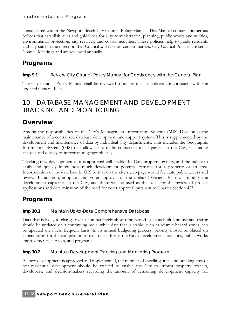consolidated within the Newport Beach City Council Policy Manual. This Manual contains numerous polices that establish rules and guidelines for City administration, planning, public works and utilities, environmental protection, city services, and coastal activities. These policies help to guide residents and city staff in the direction that Council will take on certain matters. City Council Policies are set at Council Meetings and are reviewed annually.

# **Programs**

**Imp 9.1** Review City Council Policy Manual for Consistency with the General Plan

The City Council Policy Manual shall be reviewed to assure that its policies are consistent with the updated General Plan.

# 10. DATABASE MANAGEMENT AND DEVELOPMENT TRACKING AND MONITORING

# **Overview**

Among the responsibilities of the City's Management Information Systems (MIS) Division is the maintenance of a centralized database development and support system. This is supplemented by the development and maintenance of data by individual City departments. This includes the Geographic Information System (GIS) that allows data to be connected to all parcels in the City, facilitating analysis and display of information geographically.

Tracking new development as it is approved will enable the City, property owners, and the public to easily and quickly know how much development potential remains for a property or an area. Incorporation of the data base in GIS format on the city's web page would facilitate public access and review. In addition, adoption and voter approval of the updated General Plan will modify the development capacities in the City, and these will be used as the basis for the review of project applications and determination of the need for voter approval pursuant to Charter Section 423.

# **Programs**

#### **Imp 10.1** Maintain Up-to-Date Comprehensive Database

Data that is likely to change over a comparatively short time period, such as built land use and traffic should be updated on a continuing basis, while data that is stable, such as seismic hazard zones, can be updated on a less frequent basis. In its annual budgeting process, priority should be placed on expenditures for the compilation of data that informs the City's development decisions, public works improvements, services, and programs.

#### **Imp 10.2** Maintain Development Tracking and Monitoring Program

As new development is approved and implemented, the number of dwelling units and building area of non-residential development should be tracked to enable the City to inform property owners, developers, and decision-makers regarding the amount of remaining development capacity for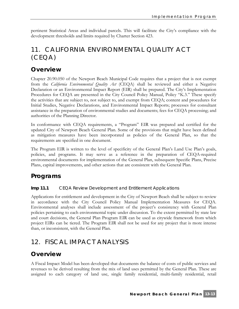pertinent Statistical Areas and individual parcels. This will facilitate the City's compliance with the development thresholds and limits required by Charter Section 423.

# 11. CALIFORNIA ENVIRONMENTAL QUALITY ACT (CEQA)

# **Overview**

Chapter 20.90.050 of the Newport Beach Municipal Code requires that a project that is not exempt from the *California Environmental Quality Act* (CEQA) shall be reviewed and either a Negative Declaration or an Environmental Impact Report (EIR) shall be prepared. The City's Implementation Procedures for CEQA are presented in the City Council Policy Manual, Policy "K.3." These specify the activities that are subject to, not subject to, and exempt from CEQA; content and procedures for Initial Studies, Negative Declarations, and Environmental Impact Reports; processes for consultant assistance in the preparation of environmental studies and documents; fees for CEQA processing; and authorities of the Planning Director.

In conformance with CEQA requirements, a "Program" EIR was prepared and certified for the updated City of Newport Beach General Plan. Some of the provisions that might have been defined as mitigation measures have been incorporated as policies of the General Plan, so that the requirements are specified in one document.

The Program EIR is written to the level of specificity of the General Plan's Land Use Plan's goals, policies, and programs. It may serve as a reference in the preparation of CEQA-required environmental documents for implementation of the General Plan, subsequent Specific Plans, Precise Plans, capital improvements, and other actions that are consistent with the General Plan.

# **Programs**

**Imp 11.1** CEQA Review Development and Entitlement Applications

Applications for entitlement and development in the City of Newport Beach shall be subject to review in accordance with the City Council Policy Manual Implementation Measures for CEQA. Environmental analyses shall include assessment of the project's consistency with General Plan policies pertaining to each environmental topic under discussion. To the extent permitted by state law and court decisions, the General Plan Program EIR can be used as citywide framework from which project EIRs can be tiered. The Program EIR shall not be used for any project that is more intense than, or inconsistent, with the General Plan.

# 12. FISCAL IMPACT ANALYSIS

### **Overview**

A Fiscal Impact Model has been developed that documents the balance of costs of public services and revenues to be derived resulting from the mix of land uses permitted by the General Plan. These are assigned to each category of land use, single family residential, multi-family residential, retail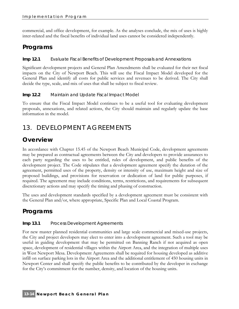commercial, and office development, for example. As the analyses conclude, the mix of uses is highly inter-related and the fiscal benefits of individual land uses cannot be considered independently.

### **Programs**

**Imp 12.1** Evaluate Fiscal Benefits of Development Proposals and Annexations

Significant development projects and General Plan Amendments shall be evaluated for their net fiscal impacts on the City of Newport Beach. This will use the Fiscal Impact Model developed for the General Plan and identify all costs for public services and revenues to be derived. The City shall decide the type, scale, and mix of uses that shall be subject to fiscal review.

#### **Imp 12.2** Maintain and Update Fiscal Impact Model

To ensure that the Fiscal Impact Model continues to be a useful tool for evaluating development proposals, annexations, and related actions, the City should maintain and regularly update the base information in the model.

# 13. DEVELOPMENT AGREEMENTS

# **Overview**

In accordance with Chapter 15.45 of the Newport Beach Municipal Code, development agreements may be prepared as contractual agreements between the City and developers to provide assurances to each party regarding the uses to be entitled, rules of development, and public benefits of the development project. The Code stipulates that a development agreement specify the duration of the agreement, permitted uses of the property, density or intensity of use, maximum height and size of proposed buildings, and provisions for reservation or dedication of land for public purposes, if required. The agreement may include conditions, terms, restrictions, and requirements for subsequent discretionary actions and may specify the timing and phasing of construction.

The uses and development standards specified by a development agreement must be consistent with the General Plan and/or, where appropriate, Specific Plan and Local Coastal Program.

# **Programs**

#### **Imp 13.1** Process Development Agreements

For new master planned residential communities and large scale commercial and mixed-use projects, the City and project developers may elect to enter into a development agreement. Such a tool may be useful in guiding development that may be permitted on Banning Ranch if not acquired as open space, development of residential villages within the Airport Area, and the integration of multiple uses in West Newport Mesa. Development Agreements shall be required for housing developed as additive infill on surface parking lots in the Airport Area and the additional entitlement of 450 housing units in Newport Center and shall specify the public benefits to be contributed by the developer in exchange for the City's commitment for the number, density, and location of the housing units.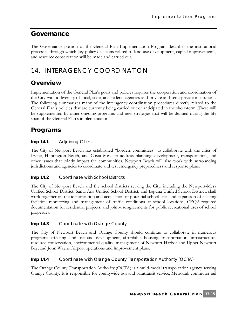# **Governance**

The Governance portion of the General Plan Implementation Program describes the institutional processes through which key policy decisions related to land use development, capital improvements, and resource conservation will be made and carried out.

# 14. INTERAGENCY COORDINATION

# **Overview**

Implementation of the General Plan's goals and policies requires the cooperation and coordination of the City with a diversity of local, state, and federal agencies and private and semi-private institutions. The following summarizes many of the interagency coordination procedures directly related to the General Plan's policies that are currently being carried out or anticipated in the short-term. These will be supplemented by other ongoing programs and new strategies that will be defined during the life span of the General Plan's implementation.

# **Programs**

#### **Imp 14.1** Adjoining Cities

The City of Newport Beach has established "borders committees" to collaborate with the cities of Irvine, Huntington Beach, and Costa Mesa to address planning, development, transportation, and other issues that jointly impact the communities. Newport Beach will also work with surrounding jurisdictions and agencies to coordinate and test emergency preparedness and response plans.

#### **Imp 14.2** Coordinate with School Districts

The City of Newport Beach and the school districts serving the City, including the Newport-Mesa Unified School District, Santa Ana Unified School District, and Laguna Unified School District, shall work together on the identification and acquisition of potential school sites and expansion of existing facilities; monitoring and management of traffic conditions at school locations; CEQA-required documentation for residential projects; and joint-use agreements for public recreational uses of school properties.

#### **Imp 14.3** Coordinate with Orange County

The City of Newport Beach and Orange County should continue to collaborate in numerous programs affecting land use and development, affordable housing, transportation, infrastructure, resource conservation, environmental quality, management of Newport Harbor and Upper Newport Bay; and John Wayne Airport operations and improvement plans.

#### **Imp 14.4** Coordinate with Orange County Transportation Authority (OCTA)

The Orange County Transportation Authority (OCTA) is a multi-modal transportation agency serving Orange County. It is responsible for countywide bus and paratransit service, Metrolink commuter rail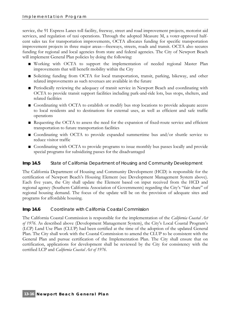service, the 91 Express Lanes toll facility, freeway, street and road improvement projects, motorist aid services, and regulation of taxi operations. Through the adopted Measure M, a voter-approved halfcent sales tax for transportation improvements, OCTA allocates funding for specific transportation improvement projects in three major areas—freeways, streets, roads and transit. OCTA also secures funding for regional and local agencies from state and federal agencies. The City of Newport Beach will implement General Plan policies by doing the following:

- **■** Working with OCTA to support the implementation of needed regional Master Plan improvements that will benefit mobility within the City
- Soliciting funding from OCTA for local transportation, transit, parking, bikeway, and other related improvements as such revenues are available in the future
- Periodically reviewing the adequacy of transit service in Newport Beach and coordinating with OCTA to provide transit support facilities including park-and-ride lots, bus stops, shelters, and related facilities
- Coordinating with OCTA to establish or modify bus stop locations to provide adequate access to local residents and to destinations for external uses, as well as efficient and safe traffic operations
- Requesting the OCTA to assess the need for the expansion of fixed-route service and efficient transportation to future transportation facilities
- Coordinating with OCTA to provide expanded summertime bus and/or shuttle service to reduce visitor traffic
- Coordinating with OCTA to provide programs to issue monthly bus passes locally and provide special programs for subsidizing passes for the disadvantaged

#### **Imp 14.5** State of California Department of Housing and Community Development

The California Department of Housing and Community Development (HCD) is responsible for the certification of Newport Beach's Housing Element (see Development Management System above). Each five years, the City shall update the Element based on input received from the HCD and regional agency (Southern California Association of Governments) regarding the City's "fair share" of regional housing demand. The focus of the update will be on the provision of adequate sites and programs for affordable housing.

#### **Imp 14.6** Coordinate with California Coastal Commission

The California Coastal Commission is responsible for the implementation of the *California Coastal Act of 1976*. As described above (Development Management System), the City's Local Coastal Program's (LCP) Land Use Plan (CLUP) had been certified at the time of the adoption of the updated General Plan. The City shall work with the Coastal Commission to amend the CLUP to be consistent with the General Plan and pursue certification of the Implementation Plan. The City shall ensure that on certification, applications for development shall be reviewed by the City for consistency with the certified LCP and *California Coastal Act of 1976*.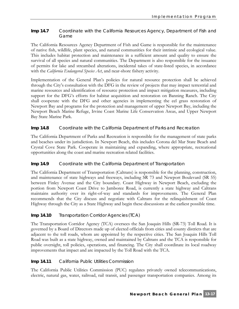#### **Imp 14.7** Coordinate with the California Resources Agency, Department of Fish and Game

The California Resources Agency Department of Fish and Game is responsible for the maintenance of native fish, wildlife, plant species, and natural communities for their intrinsic and ecological value. This includes habitat protection and maintenance in a sufficient amount and quality to ensure the survival of all species and natural communities. The Department is also responsible for the issuance of permits for lake and streambed alterations, incidental takes of state-listed species, in accordance with the *California Endangered Species Act*, and near-shore fishery activity.

Implementation of the General Plan's policies for natural resource protection shall be achieved through the City's consultation with the DFG in the review of projects that may impact terrestrial and marine resources and identification of resource protection and impact mitigation measures, including support for the DFG's efforts for habitat acquisition and restoration on Banning Ranch. The City shall cooperate with the DFG and other agencies in implementing the eel grass restoration of Newport Bay and programs for the protection and management of upper Newport Bay, including the Newport Beach Marine Refuge, Irvine Coast Marine Life Conservation Areas, and Upper Newport Bay State Marine Park.

#### **Imp 14.8** Coordinate with the California Department of Parks and Recreation

The California Department of Parks and Recreation is responsible for the management of state parks and beaches under its jurisdiction. In Newport Beach, this includes Corona del Mar State Beach and Crystal Cove State Park. Cooperate in maintaining and expanding, where appropriate, recreational opportunities along the coast and marine recreation related facilities.

#### **Imp 14.9** Coordinate with the California Department of Transportation

The California Department of Transportation (Caltrans) is responsible for the planning, construction, and maintenance of state highways and freeways, including SR 73 and Newport Boulevard (SR 55) between Finley Avenue and the City boundary. Coast Highway in Newport Beach, excluding the portion from Newport Coast Drive to Jamboree Road, is currently a state highway and Caltrans maintains authority over its right-of-way and standards for improvements. The General Plan recommends that the City discuss and negotiate with Caltrans for the relinquishment of Coast Highway through the City as a State Highway and begin these discussions at the earliest possible time.

#### **Imp 14.10** Transportation Corridor Agencies (TCA)

The Transportation Corridor Agency (TCA) oversees the San Joaquin Hills (SR-73) Toll Road. It is governed by a Board of Directors made up of elected officials from cities and county districts that are adjacent to the toll roads, whom are appointed by the respective cities. The San Joaquin Hills Toll Road was built as a state highway, owned and maintained by Caltrans and the TCA is responsible for public oversight, toll policies, operations, and financing. The City shall coordinate its local roadway improvements that impact and are impacted by the Toll Road with the TCA.

#### **Imp 14.11** California Public Utilities Commission

The California Public Utilities Commission (PUC) regulates privately owned telecommunications, electric, natural gas, water, railroad, rail transit, and passenger transportation companies. Among its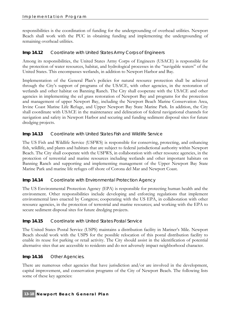responsibilities is the coordination of funding for the undergrounding of overhead utilities. Newport Beach shall work with the PUC in obtaining funding and implementing the undergrounding of remaining overhead utilities.

#### **Imp 14.12** Coordinate with United States Army Corps of Engineers

Among its responsibilities, the United States Army Corps of Engineers (USACE) is responsible for the protection of water resources, habitat, and hydrological processes in the "navigable waters" of the United States. This encompasses wetlands, in addition to Newport Harbor and Bay.

Implementation of the General Plan's policies for natural resource protection shall be achieved through the City's support of programs of the USACE, with other agencies, in the restoration of wetlands and other habitat on Banning Ranch. The City shall cooperate with the USACE and other agencies in implementing the eel grass restoration of Newport Bay and programs for the protection and management of upper Newport Bay, including the Newport Beach Marine Conservation Area, Irvine Coast Marine Life Refuge, and Upper Newport Bay State Marine Park. In addition, the City shall coordinate with USACE in the maintenance and delineation of federal navigational channels for navigation and safety in Newport Harbor and securing and funding sediment disposal sites for future dredging projects.

#### **Imp 14.13** Coordinate with United States Fish and Wildlife Service

The US Fish and Wildlife Service (USFWS) is responsible for conserving, protecting, and enhancing fish, wildlife, and plants and habitats that are subject to federal jurisdictional authority within Newport Beach. The City shall cooperate with the USFWS, in collaboration with other resource agencies, in the protection of terrestrial and marine resources including wetlands and other important habitats on Banning Ranch and supporting and implementing management of the Upper Newport Bay State Marine Park and marine life refuges off shore of Corona del Mar and Newport Coast.

#### **Imp 14.14** Coordinate with Environmental Protection Agency

The US Environmental Protection Agency (EPA) is responsible for protecting human health and the environment. Other responsibilities include developing and enforcing regulations that implement environmental laws enacted by Congress; cooperating with the US EPA, in collaboration with other resource agencies, in the protection of terrestrial and marine resources; and working with the EPA to secure sediment disposal sites for future dredging projects.

#### **Imp 14.15** Coordinate with United States Postal Service

The United States Postal Service (USPS) maintains a distribution facility in Mariner's Mile. Newport Beach should work with the USPS for the possible relocation of this postal distribution facility to enable its reuse for parking or retail activity. The City should assist in the identification of potential alternative sites that are accessible to residents and do not adversely impact neighborhood character.

#### **Imp 14.16** Other Agencies.

There are numerous other agencies that have jurisdiction and/or are involved in the development, capital improvement, and conservation programs of the City of Newport Beach. The following lists some of these key agencies: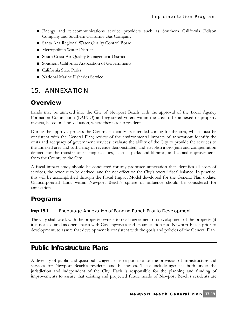- **■** Energy and telecommunications service providers such as Southern California Edison Company and Southern California Gas Company
- Santa Ana Regional Water Quality Control Board
- Metropolitan Water District
- South Coast Air Quality Management District
- Southern California Association of Governments
- **■** California State Parks
- National Marine Fisheries Service

# 15. ANNEXATION

### **Overview**

Lands may be annexed into the City of Newport Beach with the approval of the Local Agency Formation Commission (LAFCO) and registered voters within the area to be annexed or property owners, based on land valuation, where there are no residents.

During the approval process the City must identify its intended zoning for the area, which must be consistent with the General Plan; review of the environmental impacts of annexation; identify the costs and adequacy of government services; evaluate the ability of the City to provide the services to the annexed area and sufficiency of revenue demonstrated; and establish a program and compensation defined for the transfer of existing facilities, such as parks and libraries, and capital improvements from the County to the City.

A fiscal impact study should be conducted for any proposed annexation that identifies all costs of services, the revenue to be derived, and the net effect on the City's overall fiscal balance. In practice, this will be accomplished through the Fiscal Impact Model developed for the General Plan update. Unincorporated lands within Newport Beach's sphere of influence should be considered for annexation.

### **Programs**

#### **Imp 15.1** Encourage Annexation of Banning Ranch Prior to Development

The City shall work with the property owners to reach agreement on development of the property (if it is not acquired as open space) with City approvals and its annexation into Newport Beach prior to development, to assure that development is consistent with the goals and policies of the General Plan.

### **Public Infrastructure Plans**

A diversity of public and quasi-public agencies is responsible for the provision of infrastructure and services for Newport Beach's residents and businesses. These include agencies both under the jurisdiction and independent of the City. Each is responsible for the planning and funding of improvements to assure that existing and projected future needs of Newport Beach's residents are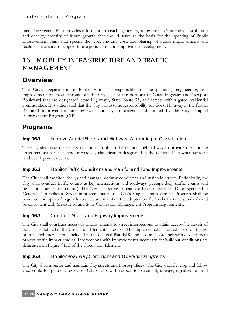met. The General Plan provides information to each agency regarding the City's intended distribution and density/intensity of future growth that should serve as the basis for the updating of Public Improvement Plans that specify the type, amount, cost, and phasing of public improvements and facilities necessary to support future population and employment development.

# 16. MOBILITY INFRASTRUCTURE AND TRAFFIC MANAGEMENT

# **Overview**

The City's Department of Public Works is responsible for the planning, engineering, and improvement of streets throughout the City, except the portions of Coast Highway and Newport Boulevard that are designated State Highways, State Route 73, and streets within gated residential communities. It is anticipated that the City will assume responsibility for Coast Highway in the future. Required improvements are reviewed annually, prioritized, and funded by the City's Capital Improvement Program (CIP).

# **Programs**

#### **Imp 16.1** Improve Arterial Streets and Highways According to Classification

The City shall take the necessary actions to obtain the required right-of-way to provide the ultimate cross sections for each type of roadway classification designated in the General Plan when adjacent land development occurs.

#### **Imp 16.2** Monitor Traffic Conditions and Plan for and Fund Improvements

The City shall monitor, design and manage roadway conditions and maintain streets. Periodically, the City shall conduct traffic counts at key intersections and roadways (average daily traffic counts and peak hour intersection counts). The City shall strive to maintain Level of Service "D" as specified in General Plan policies. Street improvements in the City's Capital Improvement Program shall be reviewed and updated regularly to meet and maintain the adopted traffic level of service standards and be consistent with Measure M and State Congestion Management Program requirements.

#### **Imp 16.3** Construct Street and Highway Improvements

The City shall construct necessary improvements to street intersections to attain acceptable Levels of Service, as defined in the Circulation Element. These shall be implemented as needed based on the list of impacted intersections included in the General Plan EIR, and also in accordance with development project traffic impact studies. Intersections with improvements necessary for buildout conditions are delineated on Figure CE-3 of the Circulation Element.

#### **Imp 16.4** Monitor Roadway Conditions and Operational Systems

The City shall monitor and maintain City streets and thoroughfares. The City shall develop and follow a schedule for periodic review of City streets with respect to pavement, signage, signalization, and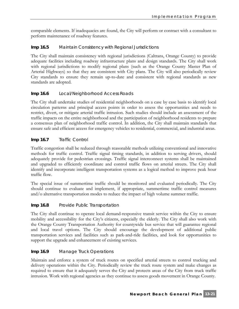comparable elements. If inadequacies are found, the City will perform or contract with a consultant to perform maintenance of roadway features.

#### **Imp 16.5** Maintain Consistency with Regional Jurisdictions

The City shall maintain consistency with regional jurisdictions (Caltrans, Orange County) to provide adequate facilities including roadway infrastructure plans and design standards. The City shall work with regional jurisdictions to modify regional plans (such as the Orange County Master Plan of Arterial Highways) so that they are consistent with City plans. The City will also periodically review City standards to ensure they remain up-to-date and consistent with regional standards as new standards are adopted.

#### **Imp 16.6** Local/Neighborhood Access Roads

The City shall undertake studies of residential neighborhoods on a case by case basis to identify local circulation patterns and principal access points in order to assess the opportunities and needs to restrict, divert, or mitigate arterial traffic intrusion. Such studies should include an assessment of the traffic impacts on the entire neighborhood and the participation of neighborhood residents to prepare a consensus plan of neighborhood traffic control. In addition, the City shall maintain standards that ensure safe and efficient access for emergency vehicles to residential, commercial, and industrial areas.

#### **Imp 16.7** Traffic Control

Traffic congestion shall be reduced through reasonable methods utilizing conventional and innovative methods for traffic control. Traffic signal timing standards, in addition to serving drivers, should adequately provide for pedestrian crossings. Traffic signal interconnect systems shall be maintained and upgraded to efficiently coordinate and control traffic flows on arterial streets. The City shall identify and incorporate intelligent transportation systems as a logical method to improve peak hour traffic flow.

The special issue of summertime traffic should be monitored and evaluated periodically. The City should continue to evaluate and implement, if appropriate, summertime traffic control measures and/o alternative transportation modes to reduce the impact of high volume summer traffic.

#### **Imp 16.8** Provide Public Transportation

The City shall continue to operate local demand-responsive transit service within the City to ensure mobility and accessibility for the City's citizens, especially the elderly. The City shall also work with the Orange County Transportation Authority for countywide bus service that will guarantee regional and local travel options. The City should encourage the development of additional public transportation services and facilities such as park-and-ride facilities, and look for opportunities to support the upgrade and enhancement of existing services.

#### **Imp 16.9** Manage Truck Operations

Maintain and enforce a system of truck routes on specified arterial streets to control trucking and delivery operations within the City. Periodically review the truck route system and make changes as required to ensure that it adequately serves the City and protects areas of the City from truck traffic intrusion. Work with regional agencies as they continue to assess goods movement in Orange County.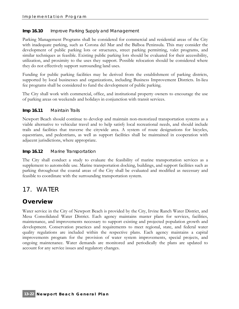#### **Imp 16.10** Improve Parking Supply and Management

Parking Management Programs shall be considered for commercial and residential areas of the City with inadequate parking, such as Corona del Mar and the Balboa Peninsula. This may consider the development of public parking lots or structures, street parking permitting, valet programs, and similar techniques as feasible. Existing public parking lots should be evaluated for their accessibility, utilization, and proximity to the uses they support. Possible relocation should be considered where they do not effectively support surrounding land uses.

Funding for public parking facilities may be derived from the establishment of parking districts, supported by local businesses and organizations, including Business Improvement Districts. In-lieu fee programs shall be considered to fund the development of public parking.

The City shall work with commercial, office, and institutional property owners to encourage the use of parking areas on weekends and holidays in conjunction with transit services.

#### **Imp 16.11** Maintain Trails

Newport Beach should continue to develop and maintain non-motorized transportation systems as a viable alternative to vehicular travel and to help satisfy local recreational needs, and should include trails and facilities that traverse the citywide area. A system of route designations for bicycles, equestrians, and pedestrians, as well as support facilities shall be maintained in cooperation with adjacent jurisdictions, where appropriate.

#### **Imp 16.12** Marine Transportation

The City shall conduct a study to evaluate the feasibility of marine transportation services as a supplement to automobile use. Marine transportation docking, buildings, and support facilities such as parking throughout the coastal areas of the City shall be evaluated and modified as necessary and feasible to coordinate with the surrounding transportation system.

# 17. WATER

### **Overview**

Water service in the City of Newport Beach is provided by the City, Irvine Ranch Water District, and Mesa Consolidated Water District. Each agency maintains master plans for services, facilities, maintenance, and improvements necessary to support existing and projected population growth and development. Conservation practices and requirements to meet regional, state, and federal water quality regulations are included within the respective plans. Each agency maintains a capital improvements program for the provision of water system improvements, special projects, and ongoing maintenance. Water demands are monitored and periodically the plans are updated to account for any service issues and regulatory changes.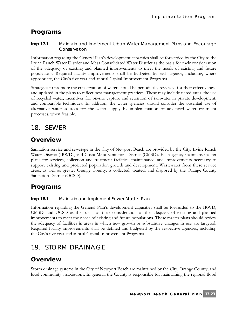### **Programs**

**Imp 17.1** Maintain and Implement Urban Water Management Plans and Encourage Conservation

Information regarding the General Plan's development capacities shall be forwarded by the City to the Irvine Ranch Water District and Mesa Consolidated Water District as the basis for their consideration of the adequacy of existing and planned improvements to meet the needs of existing and future populations. Required facility improvements shall be budgeted by each agency, including, where appropriate, the City's five year and annual Capital Improvement Programs.

Strategies to promote the conservation of water should be periodically reviewed for their effectiveness and updated in the plans to reflect best management practices. These may include tiered rates, the use of recycled water, incentives for on-site capture and retention of rainwater in private development, and comparable techniques. In addition, the water agencies should consider the potential use of alternative water sources for the water supply by implementation of advanced water treatment processes, when feasible.

# 18. SEWER

# **Overview**

Sanitation service and sewerage in the City of Newport Beach are provided by the City, Irvine Ranch Water District (IRWD), and Costa Mesa Sanitation District (CMSD). Each agency maintains master plans for services, collection and treatment facilities, maintenance, and improvements necessary to support existing and projected population growth and development. Wastewater from these service areas, as well as greater Orange County, is collected, treated, and disposed by the Orange County Sanitation District (OCSD).

# **Programs**

**Imp 18.1** Maintain and Implement Sewer Master Plan

Information regarding the General Plan's development capacities shall be forwarded to the IRWD, CMSD, and OCSD as the basis for their consideration of the adequacy of existing and planned improvements to meet the needs of existing and future populations. These master plans should review the adequacy of facilities in areas in which new growth or substantive changes in use are targeted. Required facility improvements shall be defined and budgeted by the respective agencies, including the City's five year and annual Capital Improvement Programs.

# 19. STORM DRAINAGE

# **Overview**

Storm drainage systems in the City of Newport Beach are maintained by the City, Orange County, and local community associations. In general, the County is responsible for maintaining the regional flood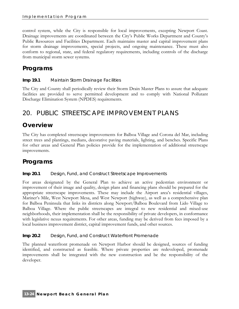control system, while the City is responsible for local improvements, excepting Newport Coast. Drainage improvements are coordinated between the City's Public Works Department and County's Public Resources and Facilities Department. Each maintains master and capital improvement plans for storm drainage improvements, special projects, and ongoing maintenance. These must also conform to regional, state, and federal regulatory requirements, including controls of the discharge from municipal storm sewer systems.

# **Programs**

#### **Imp 19.1** Maintain Storm Drainage Facilities

The City and County shall periodically review their Storm Drain Master Plans to assure that adequate facilities are provided to serve permitted development and to comply with National Pollutant Discharge Elimination System (NPDES) requirements.

# 20. PUBLIC STREETSCAPE IMPROVEMENT PLANS

### **Overview**

The City has completed streetscape improvements for Balboa Village and Corona del Mar, including street trees and plantings, medians, decorative paving materials, lighting, and benches. Specific Plans for other areas and General Plan policies provide for the implementation of additional streetscape improvements.

# **Programs**

#### **Imp 20.1** Design, Fund, and Construct Streetscape Improvements

For areas designated by the General Plan to achieve an active pedestrian environment or improvement of their image and quality, design plans and financing plans should be prepared for the appropriate streetscape improvements. These may include the Airport area's residential villages, Mariner's Mile, West Newport Mesa, and West Newport (highway), as well as a comprehensive plan for Balboa Peninsula that links its districts along Newport/Balboa Boulevard from Lido Village to Balboa Village. Where the public streetscapes are integral to new residential and mixed-use neighborhoods, their implementation shall be the responsibility of private developers, in conformance with legislative nexus requirements. For other areas, funding may be derived from fees imposed by a local business improvement district, capital improvement funds, and other sources.

#### **Imp 20.2** Design, Fund, and Construct Waterfront Promenade

The planned waterfront promenade on Newport Harbor should be designed, sources of funding identified, and constructed as feasible. Where private properties are redeveloped, promenade improvements shall be integrated with the new construction and be the responsibility of the developer.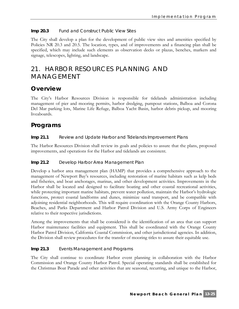**Imp 20.3** Fund and Construct Public View Sites

The City shall develop a plan for the development of public view sites and amenities specified by Policies NR 20.3 and 20.5. The location, types, and of improvements and a financing plan shall be specified, which may include such elements as observation decks or plazas, benches, markers and signage, telescopes, lighting, and landscape.

# 21. HARBOR RESOURCES PLANNING AND MANAGEMENT

# **Overview**

The City's Harbor Resources Division is responsible for tidelands administration including management of pier and mooring permits, harbor dredging, pumpout stations, Balboa and Corona Del Mar parking lots, Marine Life Refuge, Balboa Yacht Basin, harbor debris pickup, and mooring liveaboards.

### **Programs**

**Imp 21.1** Review and Update Harbor and Tidelands Improvement Plans

The Harbor Resources Division shall review its goals and policies to assure that the plans, proposed improvements, and operations for the Harbor and tidelands are consistent.

#### **Imp 21.2** Develop Harbor Area Management Plan

Develop a harbor area management plan (HAMP) that provides a comprehensive approach to the management of Newport Bay's resources, including restoration of marine habitats such as kelp beds and fisheries, and boat anchorages, marinas, and other development activities. Improvements in the Harbor shall be located and designed to facilitate boating and other coastal recreational activities, while protecting important marine habitats, prevent water pollution, maintain the Harbor's hydrologic functions, protect coastal landforms and dunes, minimize sand transport, and be compatible with adjoining residential neighborhoods. This will require coordination with the Orange County Harbors, Beaches, and Parks Department and Harbor Patrol Division and U.S. Army Corps of Engineers relative to their respective jurisdictions.

Among the improvements that shall be considered is the identification of an area that can support Harbor maintenance facilities and equipment. This shall be coordinated with the Orange County Harbor Patrol Division, California Coastal Commission, and other jurisdictional agencies. In addition, the Division shall review procedures for the transfer of mooring titles to assure their equitable use.

#### **Imp 21.3** Events Management and Programs

The City shall continue to coordinate Harbor event planning in collaboration with the Harbor Commission and Orange County Harbor Patrol. Special operating standards shall be established for the Christmas Boat Parade and other activities that are seasonal, recurring, and unique to the Harbor,

**Newport Beach General Plan 13-25**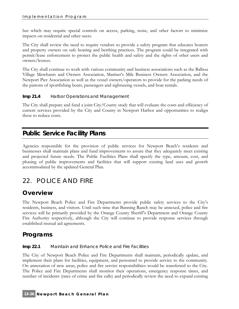but which may require special controls on access, parking, noise, and other factors to minimize impacts on residential and other users.

The City shall review the need to require vendors to provide a safety program that educates boaters and property owners on safe boating and berthing practices. The program could be integrated with permit/lease enforcement to protect the public health and safety and the rights of other users and owners/lessees.

The City shall continue to work with various community and business associations such as the Balboa Village Merchants and Owners Association, Mariner's Mile Business Owners Association, and the Newport Pier Association as well as the vessel owners/operators to provide for the parking needs of the patrons of sportfishing boats, passengers and sightseeing vessels, and boat rentals.

**Imp 21.4** Harbor Operations and Management

The City shall prepare and fund a joint City/County study that will evaluate the costs and efficiency of current services provided by the City and County in Newport Harbor and opportunities to realign these to reduce costs.

# **Public Service Facility Plans**

Agencies responsible for the provision of public services for Newport Beach's residents and businesses shall maintain plans and fund improvements to assure that they adequately meet existing and projected future needs. The Public Facilities Plans shall specify the type, amount, cost, and phasing of public improvements and facilities that will support existing land uses and growth accommodated by the updated General Plan.

# 22. POLICE AND FIRE

# **Overview**

The Newport Beach Police and Fire Departments provide public safety services to the City's residents, business, and visitors. Until such time that Banning Ranch may be annexed, police and fire services will be primarily provided by the Orange County Sheriff's Department and Orange County Fire Authority respectively, although the City will continue to provide response services through established mutual aid agreements.

# **Programs**

#### **Imp 22.1** Maintain and Enhance Police and Fire Facilities

The City of Newport Beach Police and Fire Departments shall maintain, periodically update, and implement their plans for facilities, equipment, and personnel to provide service to the community. On annexation of new areas, police and fire service responsibilities would be transferred to the City. The Police and Fire Departments shall monitor their operations, emergency response times, and number of incidents (rates of crime and fire calls) and periodically review the need to expand existing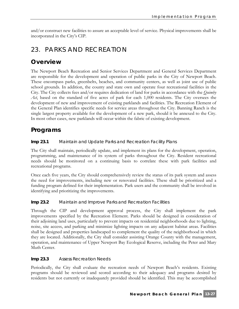and/or construct new facilities to assure an acceptable level of service. Physical improvements shall be incorporated in the City's CIP.

# 23. PARKS AND RECREATION

### **Overview**

The Newport Beach Recreation and Senior Services Department and General Services Department are responsible for the development and operation of public parks in the City of Newport Beach. These encompass parks, greenbelts, beaches, and community centers, as well as joint use of public school grounds. In addition, the county and state own and operate four recreational facilities in the City. The City collects fees and/or requires dedication of land for parks in accordance with the *Quimby*  Act, based on the standard of five acres of park for each 1,000 residents. The City oversees the development of new and improvement of existing parklands and facilities. The Recreation Element of the General Plan identifies specific needs for service areas throughout the City. Banning Ranch is the single largest property available for the development of a new park, should it be annexed to the City. In most other cases, new parklands will occur within the fabric of existing development.

# **Programs**

**Imp 23.1** Maintain and Update Parks and Recreation Facility Plans

The City shall maintain, periodically update, and implement its plans for the development, operation, programming, and maintenance of its system of parks throughout the City. Resident recreational needs should be monitored on a continuing basis to correlate these with park facilities and recreational programs.

Once each five years, the City should comprehensively review the status of its park system and assess the need for improvements, including new or renovated facilities. These shall be prioritized and a funding program defined for their implementation. Park users and the community shall be involved in identifying and prioritizing the improvements.

#### **Imp 23.2** Maintain and Improve Parks and Recreation Facilities

Through the CIP and development approval process, the City shall implement the park improvements specified by the Recreation Element. Parks should be designed in consideration of their adjoining land uses, particularly to prevent impacts on residential neighborhoods due to lighting, noise, site access, and parking and minimize lighting impacts on any adjacent habitat areas. Facilities shall be designed and properties landscaped to complement the quality of the neighborhood in which they are located. Additionally, the City shall consider assisting Orange County with the management, operation, and maintenance of Upper Newport Bay Ecological Reserve, including the Peter and Mary Muth Center.

#### **Imp 23.3** Assess Recreation Needs

Periodically, the City shall evaluate the recreation needs of Newport Beach's residents. Existing programs should be reviewed and scored according to their adequacy and programs desired by residents but not currently or inadequately provided should be identified. This may be accomplished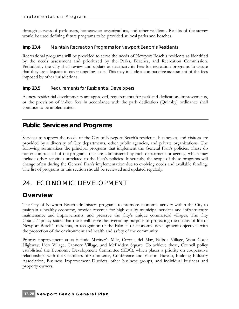through surveys of park users, homeowner organizations, and other residents. Results of the survey would be used defining future programs to be provided at local parks and beaches.

#### **Imp 23.4** Maintain Recreation Programs for Newport Beach's Residents

Recreational programs will be provided to serve the needs of Newport Beach's residents as identified by the needs assessment and prioritized by the Parks, Beaches, and Recreation Commission. Periodically the City shall review and update as necessary its fees for recreation programs to assure that they are adequate to cover ongoing costs. This may include a comparative assessment of the fees imposed by other jurisdictions.

#### **Imp 23.5** Requirements for Residential Developers

As new residential developments are approved, requirements for parkland dedication, improvements, or the provision of in-lieu fees in accordance with the park dedication (Quimby) ordinance shall continue to be implemented.

# **Public Services and Programs**

Services to support the needs of the City of Newport Beach's residents, businesses, and visitors are provided by a diversity of City departments, other public agencies, and private organizations. The following summarizes the principal programs that implement the General Plan's policies. These do not encompass all of the programs that are administered by each department or agency, which may include other activities unrelated to the Plan's policies. Inherently, the scope of these programs will change often during the General Plan's implementation due to evolving needs and available funding. The list of programs in this section should be reviewed and updated regularly.

# 24. ECONOMIC DEVELOPMENT

# **Overview**

The City of Newport Beach administers programs to promote economic activity within the City to maintain a healthy economy, provide revenue for high quality municipal services and infrastructure maintenance and improvements, and preserve the City's unique commercial villages. The City Council's policy states that these will serve the overriding purpose of protecting the quality of life of Newport Beach's residents, in recognition of the balance of economic development objectives with the protection of the environment and health and safety of the community.

Priority improvement areas include Mariner's Mile, Corona del Mar, Balboa Village, West Coast Highway, Lido Village, Cannery Village, and McFadden Square. To achieve these, Council policy established the Economic Development Committee (EDC), which places a priority on cooperative relationships with the Chambers of Commerce, Conference and Visitors Bureau, Building Industry Association, Business Improvement Districts, other business groups, and individual business and property owners.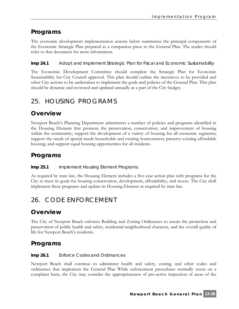# **Programs**

The economic development implementation actions below summarize the principal components of the Economic Strategic Plan prepared as a companion piece to the General Plan. The reader should refer to that document for more information.

**Imp 24.1** Adopt and Implement Strategic Plan for Fiscal and Economic Sustainability

The Economic Development Committee should complete the Strategic Plan for Economic Sustainability for City Council approval. This plan should outline the incentives to be provided and other City actions to be undertaken to implement the goals and policies of the General Plan. This plan should be dynamic and reviewed and updated annually as a part of the City budget.

# 25. HOUSING PROGRAMS

### **Overview**

Newport Beach's Planning Department administers a number of policies and programs identified in the Housing Element that promote the preservation, conservation, and improvement of housing within the community; support the development of a variety of housing for all economic segments; support the needs of special needs households and existing homeowners; preserve existing affordable housing; and support equal housing opportunities for all residents.

### **Programs**

#### **Imp 25.1** Implement Housing Element Programs

As required by state law, the Housing Element includes a five-year action plan with programs for the City to meet its goals for housing conservation, development, affordability, and access. The City shall implement these programs and update its Housing Element as required by state law.

# 26. CODE ENFORCEMENT

# **Overview**

The City of Newport Beach enforces Building and Zoning Ordinances to assure the protection and preservation of public health and safety, residential neighborhood character, and the overall quality of life for Newport Beach's residents.

# **Programs**

#### **Imp 26.1** Enforce Codes and Ordinances

Newport Beach shall continue to administer health and safety, zoning, and other codes and ordinances that implement the General Plan While enforcement procedures normally occur on a complaint basis, the City may consider the appropriateness of pro-active inspection of areas of the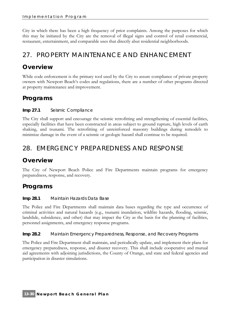City in which there has been a high frequency of prior complaints. Among the purposes for which this may be initiated by the City are the removal of illegal signs and control of retail commercial, restaurant, entertainment, and comparable uses that directly abut residential neighborhoods.

# 27. PROPERTY MAINTENANCE AND ENHANCEMENT

# **Overview**

While code enforcement is the primary tool used by the City to assure compliance of private property owners with Newport Beach's codes and regulations, there are a number of other programs directed at property maintenance and improvement.

# **Programs**

#### **Imp 27.1** Seismic Compliance

The City shall support and encourage the seismic retrofitting and strengthening of essential facilities, especially facilities that have been constructed in areas subject to ground rupture, high levels of earth shaking, and tsunami. The retrofitting of unreinforced masonry buildings during remodels to minimize damage in the event of a seismic or geologic hazard shall continue to be required.

# 28. EMERGENCY PREPAREDNESS AND RESPONSE

# **Overview**

The City of Newport Beach Police and Fire Departments maintain programs for emergency preparedness, response, and recovery.

# **Programs**

#### **Imp 28.1** Maintain Hazards Data Base

The Police and Fire Departments shall maintain data bases regarding the type and occurrence of criminal activities and natural hazards (e.g., tsunami inundation, wildfire hazards, flooding, seismic, landslide, subsidence, and other) that may impact the City as the basis for the planning of facilities, personnel assignments, and emergency response programs.

**Imp 28.2** Maintain Emergency Preparedness, Response, and Recovery Programs

The Police and Fire Department shall maintain, and periodically update, and implement their plans for emergency preparedness, response, and disaster recovery. This shall include cooperative and mutual aid agreements with adjoining jurisdictions, the County of Orange, and state and federal agencies and participation in disaster simulations.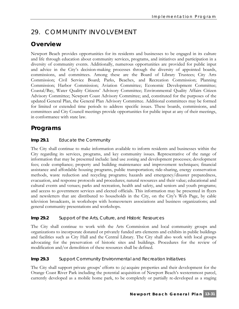# 29. COMMUNITY INVOLVEMENT

# **Overview**

Newport Beach provides opportunities for its residents and businesses to be engaged in its culture and life through education about community services, programs, and initiatives and participation in a diversity of community events. Additionally, numerous opportunities are provided for public input and advice in the City's decision-making processes through the diversity of appointed boards, commissions, and committees. Among these are the Board of Library Trustees; City Arts Commission; Civil Service Board; Parks, Beaches, and Recreation Commission; Planning Commission; Harbor Commission; Aviation Committee; Economic Development Committee; Coastal/Bay, Water Quality Citizens' Advisory Committee; Environmental Quality Affairs Citizen Advisory Committee; Newport Coast Advisory Committee; and, constituted for the purposes of the updated General Plan, the General Plan Advisory Committee. Additional committees may be formed for limited or extended time periods to address specific issues. These boards, commissions, and committees and City Council meetings provide opportunities for public input at any of their meetings, in conformance with state law.

# **Programs**

#### **Imp 29.1** Educate the Community

The City shall continue to make information available to inform residents and businesses within the City regarding its services, programs, and key community issues. Representative of the range of information that may be presented include: land use zoning and development processes; development fees; code compliance; property and building maintenance and improvement techniques; financial assistance and affordable housing programs, public transportation; ride-sharing, energy conservation methods, waste reduction and recycling programs; hazards and emergency/disaster preparedness, evacuation, and response protocols and procedures; natural resources and their value; educational and cultural events and venues; parks and recreation, health and safety, and seniors and youth programs; and access to government services and elected officials. This information may be presented in flyers and newsletters that are distributed to households in the City, on the City's Web Page, by cable television broadcasts, in workshops with homeowners associations and business organizations; and general community presentations and workshops.

#### **Imp 29.2** Support of the Arts, Culture, and Historic Resources

The City shall continue to work with the Arts Commission and local community groups and organizations to incorporate donated or privately funded arts elements and exhibits in public buildings and facilities such as City Hall and the Central Library. The City shall also work with local groups advocating for the preservation of historic sites and buildings. Procedures for the review of modification and/or demolition of these resources shall be defined.

#### **Imp 29.3** Support Community Environmental and Recreation Initiatives

The City shall support private groups' efforts to *(a)* acquire properties and their development for the Orange Coast River Park including the potential acquisition of Newport Beach's westernmost parcel, currently developed as a mobile home park, to be completely or partially re-developed as a staging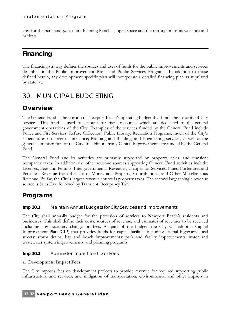area for the park; and *(b)* acquire Banning Ranch as open space and the restoration of its wetlands and habitats.

# **Financing**

The financing strategy defines the sources and uses of funds for the public improvements and services described in the Public Improvement Plans and Public Services Programs. In addition to those defined herein, any development specific plan will incorporate a detailed financing plan as stipulated by state law.

# 30. MUNICIPAL BUDGETING

# **Overview**

The General Fund is the portion of Newport Beach's operating budget that funds the majority of City services. This fund is used to account for fiscal resources which are dedicated to the general government operations of the City. Examples of the services funded by the General Fund include Police and Fire Services; Refuse Collection; Public Library; Recreation Programs; much of the City's expenditures on street maintenance; Planning and Building, and Engineering services; as well as the general administration of the City. In addition, many Capital Improvements are funded by the General Fund.

The General Fund and its activities are primarily supported by property, sales, and transient occupancy taxes. In addition, the other revenue sources supporting General Fund activities include: Licenses, Fees and Permits; Intergovernmental Revenues; Charges for Services; Fines, Forfeitures and Penalties; Revenue from the Use of Money and Property; Contributions; and Other Miscellaneous Revenue. By far, the City's largest revenue source is property taxes. The second largest single revenue source is Sales Tax, followed by Transient Occupancy Tax.

### **Programs**

#### **Imp 30.1** Maintain Annual Budgets for City Services and Improvements

The City shall annually budget for the provision of services to Newport Beach's residents and businesses. This shall define their costs, sources of revenue, and estimates of revenues to be received including any necessary changes in fees. As part of the budget, the City will adopt a Capital Improvement Plan (CIP) that provides funds for capital facilities including arterial highways; local streets; storm drains, bay and beach improvements; park and facility improvements; water and wastewater system improvements; and planning programs.

#### **Imp 30.2** Administer Impact and User Fees

#### **a. Development Impact Fees**

The City imposes fees on development projects to provide revenue for required supporting public infrastructure and services, and mitigation of transportation, environmental and other impacts in